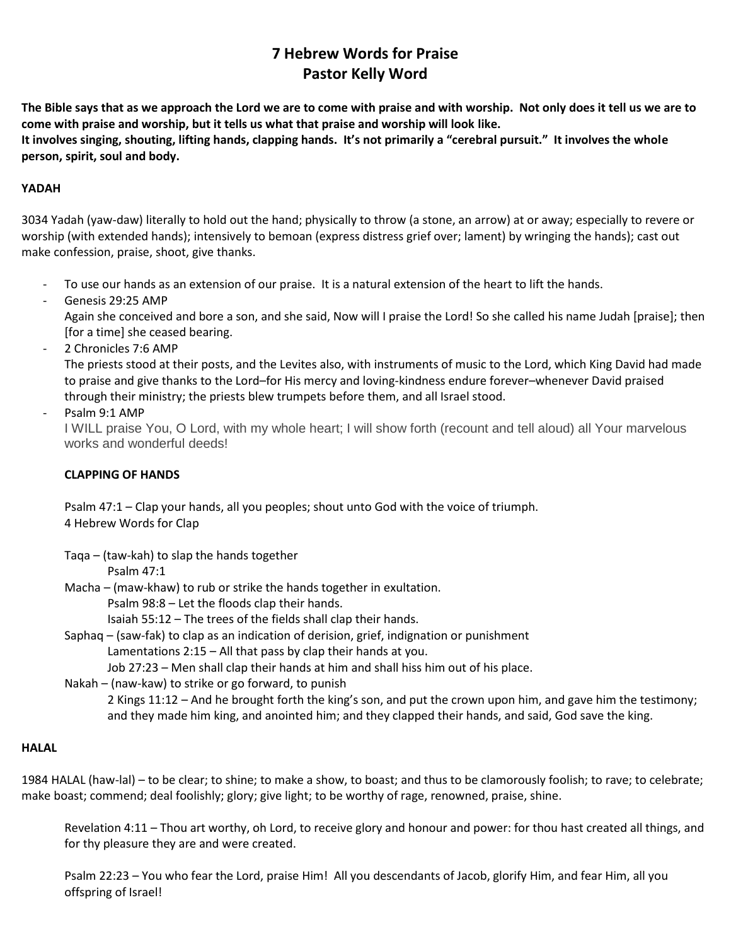# **7 Hebrew Words for Praise Pastor Kelly Word**

**The Bible says that as we approach the Lord we are to come with praise and with worship. Not only does it tell us we are to come with praise and worship, but it tells us what that praise and worship will look like.**

**It involves singing, shouting, lifting hands, clapping hands. It's not primarily a "cerebral pursuit." It involves the whole person, spirit, soul and body.**

# **YADAH**

3034 Yadah (yaw-daw) literally to hold out the hand; physically to throw (a stone, an arrow) at or away; especially to revere or worship (with extended hands); intensively to bemoan (express distress grief over; lament) by wringing the hands); cast out make confession, praise, shoot, give thanks.

- To use our hands as an extension of our praise. It is a natural extension of the heart to lift the hands.
- Genesis 29:25 AMP Again she conceived and bore a son, and she said, Now will I praise the Lord! So she called his name Judah [praise]; then [for a time] she ceased bearing.
- 2 Chronicles 7:6 AMP

The priests stood at their posts, and the Levites also, with instruments of music to the Lord, which King David had made to praise and give thanks to the Lord–for His mercy and loving-kindness endure forever–whenever David praised through their ministry; the priests blew trumpets before them, and all Israel stood.

```
Psalm 9:1 AMP
```
I WILL praise You, O Lord, with my whole heart; I will show forth (recount and tell aloud) all Your marvelous works and wonderful deeds!

# **CLAPPING OF HANDS**

Psalm 47:1 – Clap your hands, all you peoples; shout unto God with the voice of triumph. 4 Hebrew Words for Clap

Taqa – (taw-kah) to slap the hands together

Psalm 47:1

Macha – (maw-khaw) to rub or strike the hands together in exultation.

Psalm 98:8 – Let the floods clap their hands.

Isaiah 55:12 – The trees of the fields shall clap their hands.

Saphaq – (saw-fak) to clap as an indication of derision, grief, indignation or punishment Lamentations 2:15 – All that pass by clap their hands at you.

Job 27:23 – Men shall clap their hands at him and shall hiss him out of his place.

Nakah – (naw-kaw) to strike or go forward, to punish

2 Kings 11:12 – And he brought forth the king's son, and put the crown upon him, and gave him the testimony; and they made him king, and anointed him; and they clapped their hands, and said, God save the king.

## **HALAL**

1984 HALAL (haw-lal) – to be clear; to shine; to make a show, to boast; and thus to be clamorously foolish; to rave; to celebrate; make boast; commend; deal foolishly; glory; give light; to be worthy of rage, renowned, praise, shine.

Revelation 4:11 – Thou art worthy, oh Lord, to receive glory and honour and power: for thou hast created all things, and for thy pleasure they are and were created.

Psalm 22:23 – You who fear the Lord, praise Him! All you descendants of Jacob, glorify Him, and fear Him, all you offspring of Israel!